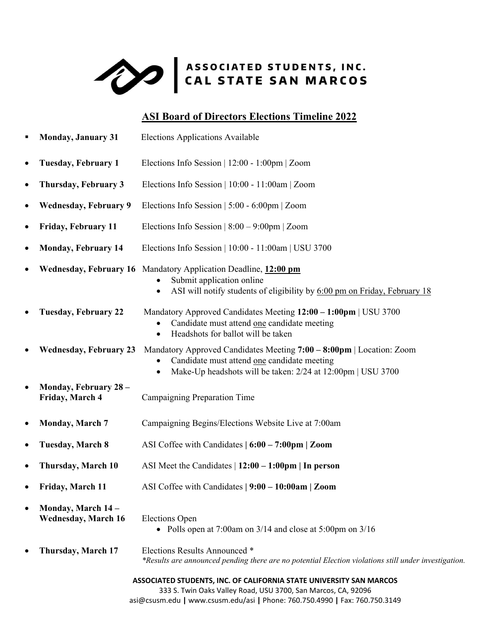

# **ASI Board of Directors Elections Timeline 2022**

| ٠         | <b>Monday, January 31</b>                                                                                                                                                                                           | <b>Elections Applications Available</b>                                                                                                                                                |  |
|-----------|---------------------------------------------------------------------------------------------------------------------------------------------------------------------------------------------------------------------|----------------------------------------------------------------------------------------------------------------------------------------------------------------------------------------|--|
| $\bullet$ | <b>Tuesday, February 1</b>                                                                                                                                                                                          | Elections Info Session   12:00 - 1:00pm   Zoom                                                                                                                                         |  |
| $\bullet$ | Thursday, February 3                                                                                                                                                                                                | Elections Info Session   10:00 - 11:00am   Zoom                                                                                                                                        |  |
| ٠         | <b>Wednesday, February 9</b>                                                                                                                                                                                        | Elections Info Session   5:00 - 6:00pm   Zoom                                                                                                                                          |  |
| $\bullet$ | Friday, February 11                                                                                                                                                                                                 | Elections Info Session $ 8:00 - 9:00$ pm $ Z$ oom                                                                                                                                      |  |
| $\bullet$ | <b>Monday, February 14</b>                                                                                                                                                                                          | Elections Info Session   10:00 - 11:00am   USU 3700                                                                                                                                    |  |
| $\bullet$ |                                                                                                                                                                                                                     | Wednesday, February 16 Mandatory Application Deadline, 12:00 pm<br>Submit application online<br>ASI will notify students of eligibility by 6:00 pm on Friday, February 18<br>$\bullet$ |  |
| $\bullet$ | <b>Tuesday, February 22</b>                                                                                                                                                                                         | Mandatory Approved Candidates Meeting 12:00 - 1:00pm   USU 3700<br>Candidate must attend one candidate meeting<br>Headshots for ballot will be taken<br>$\bullet$                      |  |
| $\bullet$ | <b>Wednesday, February 23</b>                                                                                                                                                                                       | Mandatory Approved Candidates Meeting 7:00 - 8:00pm   Location: Zoom<br>Candidate must attend one candidate meeting<br>Make-Up headshots will be taken: 2/24 at 12:00pm   USU 3700     |  |
| $\bullet$ | Monday, February 28 -<br>Friday, March 4                                                                                                                                                                            | Campaigning Preparation Time                                                                                                                                                           |  |
| $\bullet$ | <b>Monday, March 7</b>                                                                                                                                                                                              | Campaigning Begins/Elections Website Live at 7:00am                                                                                                                                    |  |
| $\bullet$ | <b>Tuesday, March 8</b>                                                                                                                                                                                             | ASI Coffee with Candidates $\vert 6:00 - 7:00 \text{pm} \vert$ Zoom                                                                                                                    |  |
| $\bullet$ | Thursday, March 10                                                                                                                                                                                                  | ASI Meet the Candidates $\vert$ 12:00 – 1:00pm $\vert$ In person                                                                                                                       |  |
| $\bullet$ | Friday, March 11                                                                                                                                                                                                    | ASI Coffee with Candidates   9:00 - 10:00am   Zoom                                                                                                                                     |  |
|           | Monday, March 14 -<br><b>Wednesday, March 16</b>                                                                                                                                                                    | <b>Elections Open</b><br>• Polls open at $7:00$ am on $3/14$ and close at $5:00$ pm on $3/16$                                                                                          |  |
|           | Thursday, March 17                                                                                                                                                                                                  | Elections Results Announced *<br>*Results are announced pending there are no potential Election violations still under investigation.                                                  |  |
|           | ASSOCIATED STUDENTS, INC. OF CALIFORNIA STATE UNIVERSITY SAN MARCOS<br>333 S. Twin Oaks Valley Road, USU 3700, San Marcos, CA, 92096<br>asi@csusm.edu   www.csusm.edu/asi   Phone: 760.750.4990   Fax: 760.750.3149 |                                                                                                                                                                                        |  |